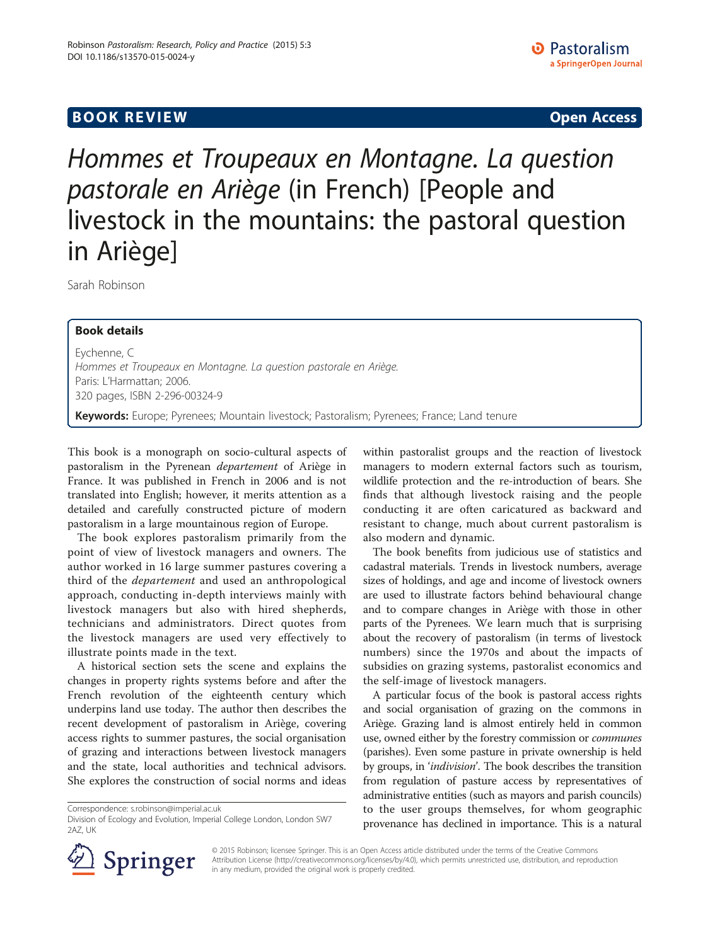# **BOOK REVIEW CONTROL** BOOK REVIEW

Hommes et Troupeaux en Montagne. La question pastorale en Ariège (in French) [People and livestock in the mountains: the pastoral question in Ariège]

Sarah Robinson

## Book details

Eychenne, C Hommes et Troupeaux en Montagne. La question pastorale en Ariège. Paris: L'Harmattan; 2006. 320 pages, ISBN 2-296-00324-9 Keywords: Europe; Pyrenees; Mountain livestock; Pastoralism; Pyrenees; France; Land tenure

This book is a monograph on socio-cultural aspects of pastoralism in the Pyrenean departement of Ariège in France. It was published in French in 2006 and is not translated into English; however, it merits attention as a detailed and carefully constructed picture of modern pastoralism in a large mountainous region of Europe.

The book explores pastoralism primarily from the point of view of livestock managers and owners. The author worked in 16 large summer pastures covering a third of the departement and used an anthropological approach, conducting in-depth interviews mainly with livestock managers but also with hired shepherds, technicians and administrators. Direct quotes from the livestock managers are used very effectively to illustrate points made in the text.

A historical section sets the scene and explains the changes in property rights systems before and after the French revolution of the eighteenth century which underpins land use today. The author then describes the recent development of pastoralism in Ariège, covering access rights to summer pastures, the social organisation of grazing and interactions between livestock managers and the state, local authorities and technical advisors. She explores the construction of social norms and ideas

Correspondence: [s.robinson@imperial.ac.uk](mailto:s.robinson@imperial.ac.uk)

within pastoralist groups and the reaction of livestock managers to modern external factors such as tourism, wildlife protection and the re-introduction of bears. She finds that although livestock raising and the people conducting it are often caricatured as backward and resistant to change, much about current pastoralism is also modern and dynamic.

The book benefits from judicious use of statistics and cadastral materials. Trends in livestock numbers, average sizes of holdings, and age and income of livestock owners are used to illustrate factors behind behavioural change and to compare changes in Ariège with those in other parts of the Pyrenees. We learn much that is surprising about the recovery of pastoralism (in terms of livestock numbers) since the 1970s and about the impacts of subsidies on grazing systems, pastoralist economics and the self-image of livestock managers.

A particular focus of the book is pastoral access rights and social organisation of grazing on the commons in Ariège. Grazing land is almost entirely held in common use, owned either by the forestry commission or communes (parishes). Even some pasture in private ownership is held by groups, in 'indivision'. The book describes the transition from regulation of pasture access by representatives of administrative entities (such as mayors and parish councils) to the user groups themselves, for whom geographic provenance has declined in importance. This is a natural



© 2015 Robinson; licensee Springer. This is an Open Access article distributed under the terms of the Creative Commons Attribution License [\(http://creativecommons.org/licenses/by/4.0\)](http://creativecommons.org/licenses/by/4.0), which permits unrestricted use, distribution, and reproduction in any medium, provided the original work is properly credited.

Division of Ecology and Evolution, Imperial College London, London SW7 2AZ, UK